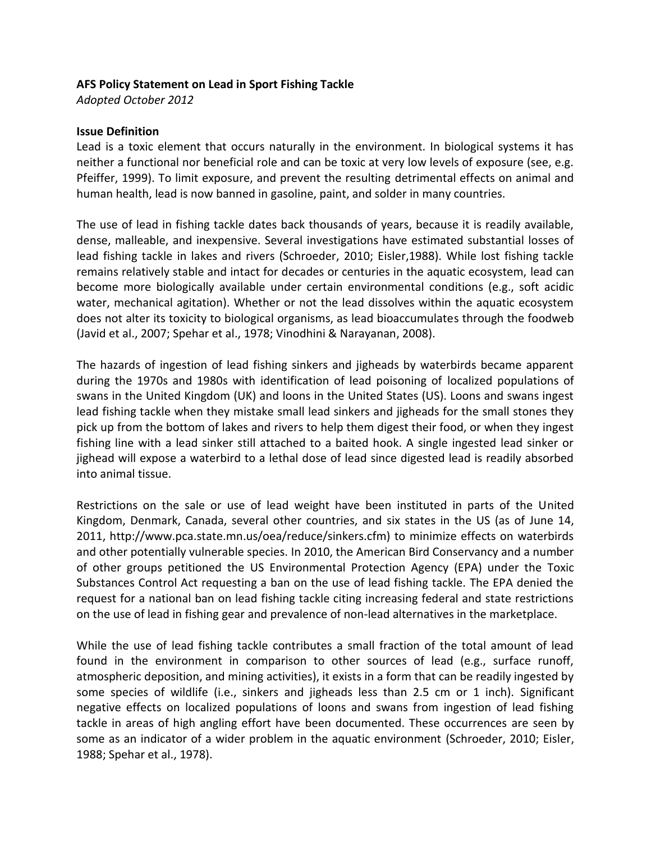### **AFS Policy Statement on Lead in Sport Fishing Tackle**

*Adopted October 2012*

### **Issue Definition**

Lead is a toxic element that occurs naturally in the environment. In biological systems it has neither a functional nor beneficial role and can be toxic at very low levels of exposure (see, e.g. Pfeiffer, 1999). To limit exposure, and prevent the resulting detrimental effects on animal and human health, lead is now banned in gasoline, paint, and solder in many countries.

The use of lead in fishing tackle dates back thousands of years, because it is readily available, dense, malleable, and inexpensive. Several investigations have estimated substantial losses of lead fishing tackle in lakes and rivers (Schroeder, 2010; Eisler,1988). While lost fishing tackle remains relatively stable and intact for decades or centuries in the aquatic ecosystem, lead can become more biologically available under certain environmental conditions (e.g., soft acidic water, mechanical agitation). Whether or not the lead dissolves within the aquatic ecosystem does not alter its toxicity to biological organisms, as lead bioaccumulates through the foodweb (Javid et al., 2007; Spehar et al., 1978; Vinodhini & Narayanan, 2008).

The hazards of ingestion of lead fishing sinkers and jigheads by waterbirds became apparent during the 1970s and 1980s with identification of lead poisoning of localized populations of swans in the United Kingdom (UK) and loons in the United States (US). Loons and swans ingest lead fishing tackle when they mistake small lead sinkers and jigheads for the small stones they pick up from the bottom of lakes and rivers to help them digest their food, or when they ingest fishing line with a lead sinker still attached to a baited hook. A single ingested lead sinker or jighead will expose a waterbird to a lethal dose of lead since digested lead is readily absorbed into animal tissue.

Restrictions on the sale or use of lead weight have been instituted in parts of the United Kingdom, Denmark, Canada, several other countries, and six states in the US (as of June 14, 2011, http://www.pca.state.mn.us/oea/reduce/sinkers.cfm) to minimize effects on waterbirds and other potentially vulnerable species. In 2010, the American Bird Conservancy and a number of other groups petitioned the US Environmental Protection Agency (EPA) under the Toxic Substances Control Act requesting a ban on the use of lead fishing tackle. The EPA denied the request for a national ban on lead fishing tackle citing increasing federal and state restrictions on the use of lead in fishing gear and prevalence of non-lead alternatives in the marketplace.

While the use of lead fishing tackle contributes a small fraction of the total amount of lead found in the environment in comparison to other sources of lead (e.g., surface runoff, atmospheric deposition, and mining activities), it exists in a form that can be readily ingested by some species of wildlife (i.e., sinkers and jigheads less than 2.5 cm or 1 inch). Significant negative effects on localized populations of loons and swans from ingestion of lead fishing tackle in areas of high angling effort have been documented. These occurrences are seen by some as an indicator of a wider problem in the aquatic environment (Schroeder, 2010; Eisler, 1988; Spehar et al., 1978).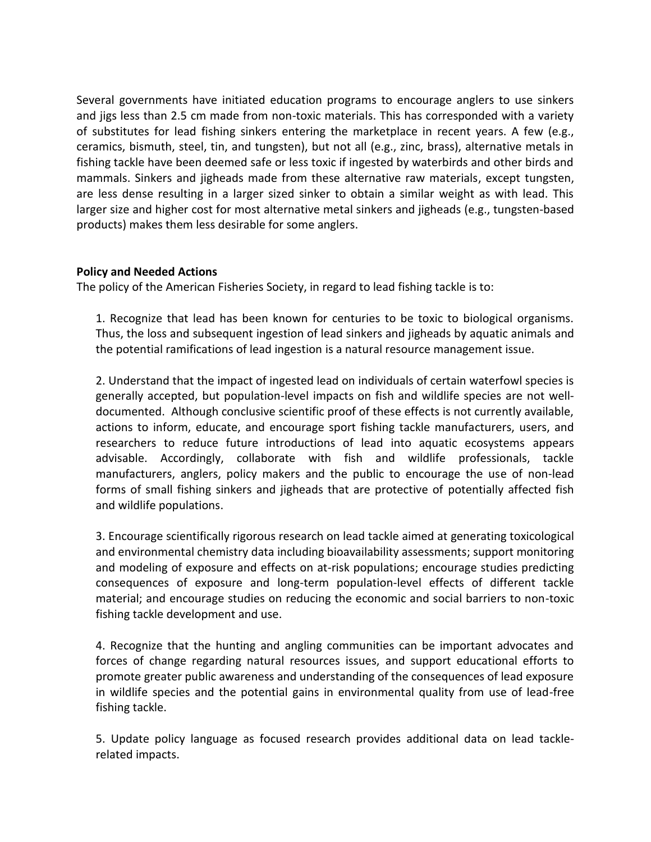Several governments have initiated education programs to encourage anglers to use sinkers and jigs less than 2.5 cm made from non-toxic materials. This has corresponded with a variety of substitutes for lead fishing sinkers entering the marketplace in recent years. A few (e.g., ceramics, bismuth, steel, tin, and tungsten), but not all (e.g., zinc, brass), alternative metals in fishing tackle have been deemed safe or less toxic if ingested by waterbirds and other birds and mammals. Sinkers and jigheads made from these alternative raw materials, except tungsten, are less dense resulting in a larger sized sinker to obtain a similar weight as with lead. This larger size and higher cost for most alternative metal sinkers and jigheads (e.g., tungsten-based products) makes them less desirable for some anglers.

# **Policy and Needed Actions**

The policy of the American Fisheries Society, in regard to lead fishing tackle is to:

1. Recognize that lead has been known for centuries to be toxic to biological organisms. Thus, the loss and subsequent ingestion of lead sinkers and jigheads by aquatic animals and the potential ramifications of lead ingestion is a natural resource management issue.

2. Understand that the impact of ingested lead on individuals of certain waterfowl species is generally accepted, but population-level impacts on fish and wildlife species are not welldocumented. Although conclusive scientific proof of these effects is not currently available, actions to inform, educate, and encourage sport fishing tackle manufacturers, users, and researchers to reduce future introductions of lead into aquatic ecosystems appears advisable. Accordingly, collaborate with fish and wildlife professionals, tackle manufacturers, anglers, policy makers and the public to encourage the use of non-lead forms of small fishing sinkers and jigheads that are protective of potentially affected fish and wildlife populations.

3. Encourage scientifically rigorous research on lead tackle aimed at generating toxicological and environmental chemistry data including bioavailability assessments; support monitoring and modeling of exposure and effects on at-risk populations; encourage studies predicting consequences of exposure and long-term population-level effects of different tackle material; and encourage studies on reducing the economic and social barriers to non-toxic fishing tackle development and use.

4. Recognize that the hunting and angling communities can be important advocates and forces of change regarding natural resources issues, and support educational efforts to promote greater public awareness and understanding of the consequences of lead exposure in wildlife species and the potential gains in environmental quality from use of lead-free fishing tackle.

5. Update policy language as focused research provides additional data on lead tacklerelated impacts.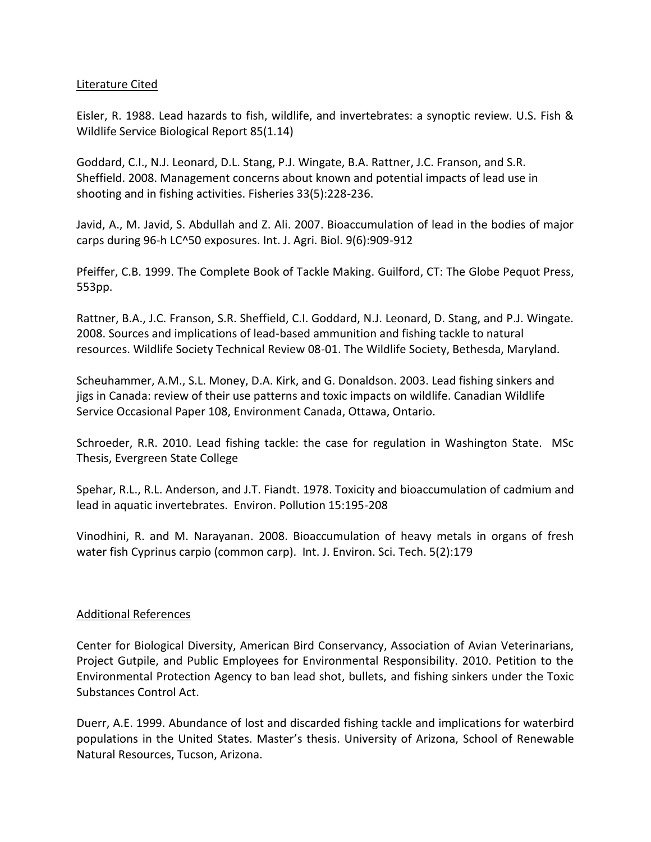# Literature Cited

Eisler, R. 1988. Lead hazards to fish, wildlife, and invertebrates: a synoptic review. U.S. Fish & Wildlife Service Biological Report 85(1.14)

Goddard, C.I., N.J. Leonard, D.L. Stang, P.J. Wingate, B.A. Rattner, J.C. Franson, and S.R. Sheffield. 2008. Management concerns about known and potential impacts of lead use in shooting and in fishing activities. Fisheries 33(5):228-236.

Javid, A., M. Javid, S. Abdullah and Z. Ali. 2007. Bioaccumulation of lead in the bodies of major carps during 96-h LC^50 exposures. Int. J. Agri. Biol. 9(6):909-912

Pfeiffer, C.B. 1999. The Complete Book of Tackle Making. Guilford, CT: The Globe Pequot Press, 553pp.

Rattner, B.A., J.C. Franson, S.R. Sheffield, C.I. Goddard, N.J. Leonard, D. Stang, and P.J. Wingate. 2008. Sources and implications of lead-based ammunition and fishing tackle to natural resources. Wildlife Society Technical Review 08-01. The Wildlife Society, Bethesda, Maryland.

Scheuhammer, A.M., S.L. Money, D.A. Kirk, and G. Donaldson. 2003. Lead fishing sinkers and jigs in Canada: review of their use patterns and toxic impacts on wildlife. Canadian Wildlife Service Occasional Paper 108, Environment Canada, Ottawa, Ontario.

Schroeder, R.R. 2010. Lead fishing tackle: the case for regulation in Washington State. MSc Thesis, Evergreen State College

Spehar, R.L., R.L. Anderson, and J.T. Fiandt. 1978. Toxicity and bioaccumulation of cadmium and lead in aquatic invertebrates. Environ. Pollution 15:195-208

Vinodhini, R. and M. Narayanan. 2008. Bioaccumulation of heavy metals in organs of fresh water fish Cyprinus carpio (common carp). Int. J. Environ. Sci. Tech. 5(2):179

# Additional References

Center for Biological Diversity, American Bird Conservancy, Association of Avian Veterinarians, Project Gutpile, and Public Employees for Environmental Responsibility. 2010. Petition to the Environmental Protection Agency to ban lead shot, bullets, and fishing sinkers under the Toxic Substances Control Act.

Duerr, A.E. 1999. Abundance of lost and discarded fishing tackle and implications for waterbird populations in the United States. Master's thesis. University of Arizona, School of Renewable Natural Resources, Tucson, Arizona.